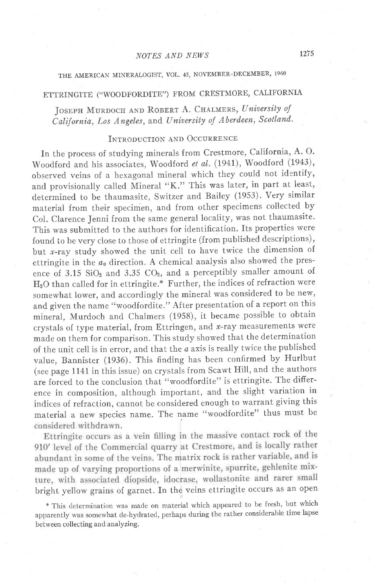## THE AMERICAN MINERALOGIST, VOL. 45, NOVEMBER-DECEMBER, 1960

# ETTRINGITE ("WOODFORDITE") FROM CRESTMORE, CALIFORNIA

# JOSEPH MURDOCH AND ROBERT A. CHALMERS, University of California, Los Angeles, and University of Aberdeen, Scotland.

### INTRODUCTION AND OCCURRENCE

In the process of studying minerals from Crestmore, California, A.O. woodford and his associates, woodford et at. (1941), woodford (1943), observed veins of a hexagonal mineral which they could not identify, and provisionally calied Mineral "K." This was later, in part at least, determined to be thaumasite, Switzer and Bailey (1953). Very similar material from their specimen, and from other specimens collected by Col. Clarence Jenni from the same general locality, was not thaumasite. This was submitted to the authors for identification. Its properties were found to be very close to those of ettringite (from published descriptions), but  $x$ -ray study showed the unit cell to have twice the dimension of ettringite in the  $a_0$  direction. A chemical analysis also showed the presence of 3.15  $SiO<sub>2</sub>$  and 3.35  $CO<sub>2</sub>$ , and a perceptibly smaller amount of HzO than called for in ettringite.\* Further, the indices of refraction were somewhat lower, and accordingly the mineral was considered to be new, and given the name "woodfordite." After presentation of a report on this mineral, Murdoch and Chalmers (1958), it became possible to obtain crystals of type material, from Ettringen, and  $x$ -ray measurements were made on them for comparison. This study showed that the determination of the unit cell is in error, and that the  $a$  axis is really twice the published value, Bannister (1936). This finding has been confirmed by Hurlbut (see page 1141 in this issue) on crystals from Scawt Hill, and the authors are forced to the conclusion that "woodfordite" is ettringite. The difference in composition, although important, and the slight variation in indices of refraction, cannot be considered enough to warrant giving this material a new species name. The name "woodfordite" thus must be considered withdrawn.

Ettringite occurs as a vein filling in the massive contact rock of the 910' level of the Commercial quarry at Crestmore, and is locally rather abundant in some of the veins. The matrix rock is rather variable, and is made up of varying proportions of a merwinite, spurrite, gehlenite mixture, with associated diopside, idocrase, wollastonite and rarer small<br>bright yellow grains of garnet. In the veins ettringite occurs as an open

\* 'Ihis cletermination was made on material which appeared to be fresh, but which apparently was somewhat de-hydrated, perhaps during the rather considerable time lapse between collecting and analyzing.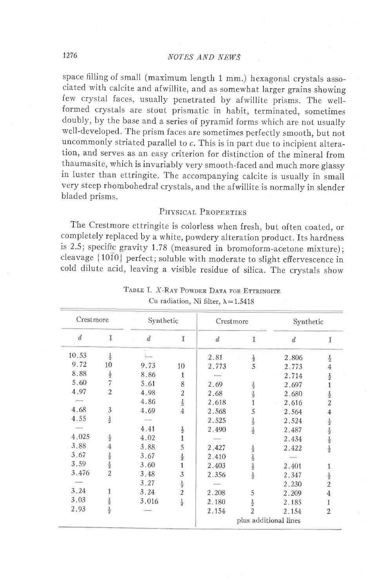space filling of small (maximum length 1 mm.) hexagonal crystals associated with calcite and afwillite, and as somewhat larger grains showing few crystal faces, usually penetrated by afwillite prisms. The wellformed crystals are stout prismatic in habit, terminated, sometimes doubly, by the base and a series of pyramid forms which are not usually well-developed. The prism faces are sometimes perfectly smooth, but not uncommonly striated parallel to  $c$ . This is in part due to incipient alteration, and serves as an easy criterion for distinction of the mineral from thaumasite, which is invariably very smooth-faced and much more glassy in luster than ettringite. The accompanying calcite is usually in small very steep rhombohedral crystals, and the afwillite is normally in slender bladed prisms.

## PHYSICAL PROPERTIES

The Crestmore ettringite is colorless when fresh, but often coated, or completely replaced by a white, powdery alteration product. Its hardness is 2.5; specific gravity 1.78 (measured in bromoform-acetone mixture); cleavage {1010} perfect; soluble with moderate to slight effervescence in cold dilute acid, leaving a visible residue of silica. The crystals show

| Crestmore        |                                           | Synthetic                |                | Crestmore             |                     | Synthetic        |                                                                       |
|------------------|-------------------------------------------|--------------------------|----------------|-----------------------|---------------------|------------------|-----------------------------------------------------------------------|
| $\boldsymbol{d}$ | T.                                        | $\overline{d}$<br>$\sim$ | Ŧ              | $\boldsymbol{d}$      | $\mathbf I$         | $\boldsymbol{d}$ | Ι                                                                     |
| 10.53            | $\frac{1}{2}$                             |                          |                | 2.81                  | $\frac{1}{2}$       | 2.806            | $\frac{1}{2}$                                                         |
| 9.72             | 10                                        | 9.73                     | 10             | 2.773                 | 5                   | 2.773            | 4                                                                     |
| 8.88             | $\frac{1}{2}$                             | 8.86                     | 1              |                       |                     | 2.714            | $\frac{1}{2}$                                                         |
| 5.60             | $\overline{7}$                            | 5.61                     | 8              | 2.69                  | $\frac{1}{2}$       | 2.697            |                                                                       |
| 4.97             | $\overline{2}$                            | 4.98                     | $\overline{2}$ | 2.68                  | 12                  | 2.680            | $\frac{1}{2}$                                                         |
|                  |                                           | 4.86                     | $\frac{1}{2}$  | 2.618                 |                     | 2.616            | $\overline{2}$                                                        |
| 4.68             | 3                                         | 4.69                     | 4              | 2.568                 | 5                   | 2.564            | 4                                                                     |
| 4.55             | $\frac{1}{2}$                             |                          |                | 2.525                 | $\frac{1}{2}$       | 2.524            |                                                                       |
|                  |                                           | 4.41                     | $\frac{1}{2}$  | 2.490                 |                     | 2.487            | $\frac{1}{2}$ $\frac{1}{2}$ $\frac{1}{2}$ $\frac{1}{2}$ $\frac{1}{2}$ |
| 4.025            | $\frac{1}{2}$                             | 4.02                     |                |                       |                     | 2.434            |                                                                       |
| 3.88             |                                           | 3.88                     | 5              | 2.427                 | $\frac{1}{2}$       | 2.422            |                                                                       |
| 3.67             |                                           | 3.67                     | $\frac{1}{2}$  | 2.410                 |                     |                  |                                                                       |
| 3.59             | $\frac{1}{2}$ $\frac{1}{2}$ $\frac{1}{2}$ | 3.60                     | 1              | 2.403                 | $12  - 12  - 12  -$ | 2.401            |                                                                       |
| 3.476            |                                           | 3.48                     | 3              | 2.356                 |                     | 2.347            | 틀                                                                     |
|                  |                                           | 3.27                     | $\frac{1}{2}$  |                       |                     | 2.230            | $\overline{c}$                                                        |
| 3.24             | 1                                         | 3.24                     | $\overline{2}$ | 2.208                 | 5                   | 2.209            | 4                                                                     |
| 3.03             | $\frac{1}{2}$                             | 3.016                    | $\frac{1}{2}$  | 2.180                 |                     | 2.185            | 1                                                                     |
| 2.93             | $\frac{1}{2}$                             |                          |                | 2.154                 | $\frac{1}{2}$       | 2.154            | 2                                                                     |
|                  |                                           |                          |                | plus additional lines |                     |                  |                                                                       |

TABLE I. X-RAY POWDER DATA FOR ETTRINGITE Cu radiation, Ni filter,  $\lambda = 1.5418$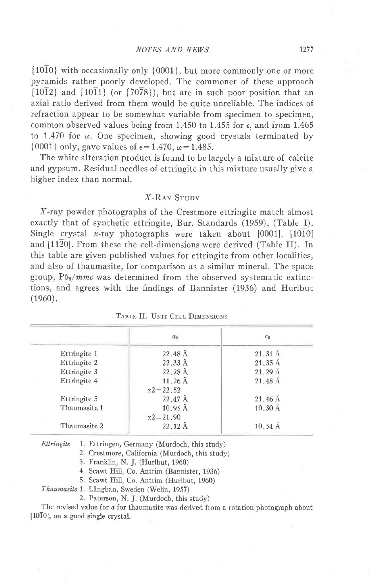${10\overline{10}}$  with occasionally only  ${0001}$ , but more commonly one or more pyramids rather poorly developed. The commoner of these approach  $\{10\overline{1}2\}$  and  $\{10\overline{1}1\}$  (or  $\{70\overline{7}8\}$ ), but are in such poor position that an axial ratio derived from them would be quite unreliable. The indices of refraction appear to be somewhat variable from specimen to specimen, common observed values being from 1.450 to 1.455 for  $\epsilon$ , and from 1.465 to 1.470 for  $\omega$ . One specimen, showing good crystals terminated by {0001} only, gave values of  $\epsilon = 1.470$ ,  $\omega = 1.485$ .

The white alteration product is found to be largely a mixture of calcite and gypsum. Residual needles of ettringite in this mixture usually give a higher index than normal.

### X-RAY STUDY

X-ray powder photographs of the Crestmore ettringite match almost exactly that of synthetic ettringite, Bur. Standards (1959), (Table I). Single crystal x-ray photographs were taken about  $[0001]$ ,  $[10\overline{10}]$ and [1120]. From these the cell-dimensions were derived (Table II). In this table are given published values for ettringite from other localities, and also of thaumasite, for comparison as a similar mineral. The space group,  $P6_3/mmc$  was determined from the observed systematic extinctions, and agrees with the findings of Bannister (1936) and Hurlbut  $(1960).$ 

|              | a <sub>0</sub>      | c <sub>0</sub>        |
|--------------|---------------------|-----------------------|
| Ettringite 1 | $22.48 \text{ Å}$   | $21.31 \text{ Å}$     |
| Ettringite 2 | $22.33 \text{ Å}$   | $21.35 \text{ Å}$     |
| Ettringite 3 | $22.28 \text{ Å}$   | $21.29 \text{ Å}$     |
| Ettringite 4 | $11.26\,\text{\AA}$ | $21.48\,\mathrm{\AA}$ |
|              | $x^2 = 22.52$       |                       |
| Ettringite 5 | $22.47 \text{ Å}$   | $21.46\,\text{\AA}$   |
| Thaumasite 1 | $10.95 \text{ Å}$   | $10.30 \text{ Å}$     |
|              | $x2 = 21.90$        |                       |
| Thaumasite 2 | $22.12 \text{ Å}$   | $10.54 \text{ Å}$     |

|  |  |  | TABLE II. UNIT CELL DIMENSIONS |
|--|--|--|--------------------------------|
|--|--|--|--------------------------------|

Ettringite 1. Ettringen, Germany (Murdoch, this study)

2. Crestmore, California (Murdoch, this study)

3. Franklin, N. J. (Hurlbut, 1960)

4. Scawt Hill, Co. Antrim (Bannister, 1936)

5. Scawt Hill, Co. Antrim (Hurlbut, 1960)

Thaumasite 1. Långban, Sweden (Welin, 1957)

2. Paterson, N. J. (Murdoch, this study)

The revised value for a for thaumasite was derived from a rotation photograph about [10T0], on a good single crystal.